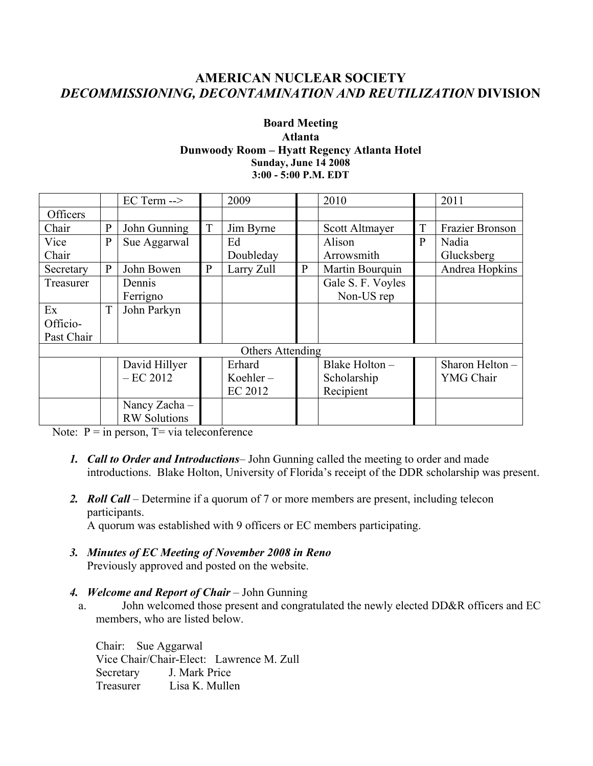# **AMERICAN NUCLEAR SOCIETY** *DECOMMISSIONING, DECONTAMINATION AND REUTILIZATION* **DIVISION**

#### **Board Meeting Atlanta Dunwoody Room – Hyatt Regency Atlanta Hotel Sunday, June 14 2008 3:00 - 5:00 P.M. EDT**

|                  |              | $EC$ Term $\rightarrow$ |              | 2009        |              | 2010              |              | 2011            |  |  |  |
|------------------|--------------|-------------------------|--------------|-------------|--------------|-------------------|--------------|-----------------|--|--|--|
| Officers         |              |                         |              |             |              |                   |              |                 |  |  |  |
| Chair            | $\mathbf{P}$ | John Gunning            | T            | Jim Byrne   |              | Scott Altmayer    | T            | Frazier Bronson |  |  |  |
| Vice             | $\mathbf{P}$ | Sue Aggarwal            |              | Ed          |              | Alison            | $\mathbf{P}$ | Nadia           |  |  |  |
| Chair            |              |                         |              | Doubleday   |              | Arrowsmith        |              | Glucksberg      |  |  |  |
| Secretary        | $\mathbf{P}$ | John Bowen              | $\mathbf{P}$ | Larry Zull  | $\mathbf{P}$ | Martin Bourquin   |              | Andrea Hopkins  |  |  |  |
| Treasurer        |              | Dennis                  |              |             |              | Gale S. F. Voyles |              |                 |  |  |  |
|                  |              | Ferrigno                |              |             |              | Non-US rep        |              |                 |  |  |  |
| Ex               | T            | John Parkyn             |              |             |              |                   |              |                 |  |  |  |
| Officio-         |              |                         |              |             |              |                   |              |                 |  |  |  |
| Past Chair       |              |                         |              |             |              |                   |              |                 |  |  |  |
| Others Attending |              |                         |              |             |              |                   |              |                 |  |  |  |
|                  |              | David Hillyer           |              | Erhard      |              | Blake Holton -    |              | Sharon Helton - |  |  |  |
|                  |              | $-EC 2012$              |              | Koehler $-$ |              | Scholarship       |              | YMG Chair       |  |  |  |
|                  |              |                         |              | EC 2012     |              | Recipient         |              |                 |  |  |  |
|                  |              | Nancy Zacha-            |              |             |              |                   |              |                 |  |  |  |
|                  |              | <b>RW</b> Solutions     |              |             |              |                   |              |                 |  |  |  |

Note:  $P = in person$ ,  $T = via teleconference$ 

- *1. Call to Order and Introductions* John Gunning called the meeting to order and made introductions. Blake Holton, University of Florida's receipt of the DDR scholarship was present.
- *2. Roll Call* Determine if a quorum of 7 or more members are present, including telecon participants.

A quorum was established with 9 officers or EC members participating.

- *3. Minutes of EC Meeting of November 2008 in Reno* Previously approved and posted on the website.
- *4. Welcome and Report of Chair*  John Gunning
	- a. John welcomed those present and congratulated the newly elected DD&R officers and EC members, who are listed below.

Chair: Sue Aggarwal Vice Chair/Chair-Elect: Lawrence M. Zull Secretary J. Mark Price Treasurer Lisa K. Mullen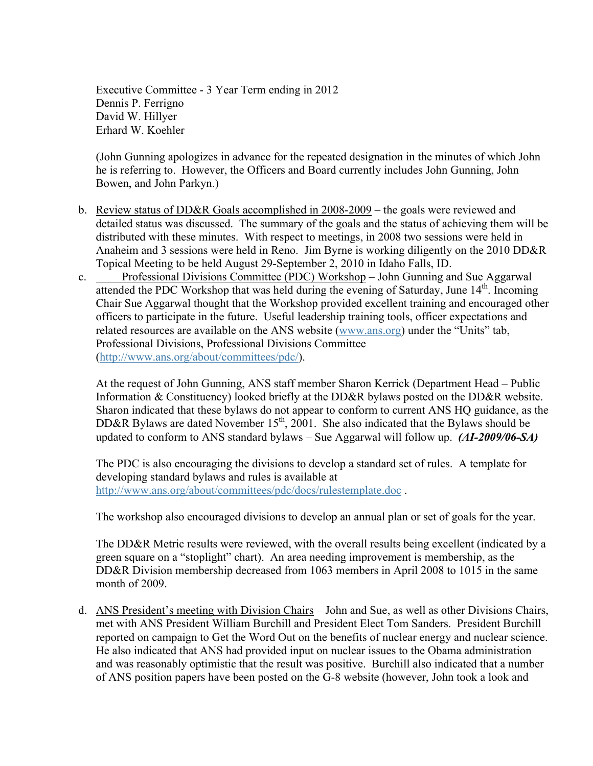Executive Committee - 3 Year Term ending in 2012 Dennis P. Ferrigno David W. Hillyer Erhard W. Koehler

(John Gunning apologizes in advance for the repeated designation in the minutes of which John he is referring to. However, the Officers and Board currently includes John Gunning, John Bowen, and John Parkyn.)

- b. Review status of DD&R Goals accomplished in 2008-2009 the goals were reviewed and detailed status was discussed. The summary of the goals and the status of achieving them will be distributed with these minutes. With respect to meetings, in 2008 two sessions were held in Anaheim and 3 sessions were held in Reno. Jim Byrne is working diligently on the 2010 DD&R Topical Meeting to be held August 29-September 2, 2010 in Idaho Falls, ID.
- c. Professional Divisions Committee (PDC) Workshop John Gunning and Sue Aggarwal attended the PDC Workshop that was held during the evening of Saturday, June  $14<sup>th</sup>$ . Incoming Chair Sue Aggarwal thought that the Workshop provided excellent training and encouraged other officers to participate in the future. Useful leadership training tools, officer expectations and related resources are available on the ANS website (www.ans.org) under the "Units" tab, Professional Divisions, Professional Divisions Committee (http://www.ans.org/about/committees/pdc/).

At the request of John Gunning, ANS staff member Sharon Kerrick (Department Head – Public Information & Constituency) looked briefly at the DD&R bylaws posted on the DD&R website. Sharon indicated that these bylaws do not appear to conform to current ANS HQ guidance, as the DD&R Bylaws are dated November  $15<sup>th</sup>$ , 2001. She also indicated that the Bylaws should be updated to conform to ANS standard bylaws – Sue Aggarwal will follow up. *(AI-2009/06-SA)*

The PDC is also encouraging the divisions to develop a standard set of rules. A template for developing standard bylaws and rules is available at http://www.ans.org/about/committees/pdc/docs/rulestemplate.doc .

The workshop also encouraged divisions to develop an annual plan or set of goals for the year.

The DD&R Metric results were reviewed, with the overall results being excellent (indicated by a green square on a "stoplight" chart). An area needing improvement is membership, as the DD&R Division membership decreased from 1063 members in April 2008 to 1015 in the same month of 2009.

d. ANS President's meeting with Division Chairs – John and Sue, as well as other Divisions Chairs, met with ANS President William Burchill and President Elect Tom Sanders. President Burchill reported on campaign to Get the Word Out on the benefits of nuclear energy and nuclear science. He also indicated that ANS had provided input on nuclear issues to the Obama administration and was reasonably optimistic that the result was positive. Burchill also indicated that a number of ANS position papers have been posted on the G-8 website (however, John took a look and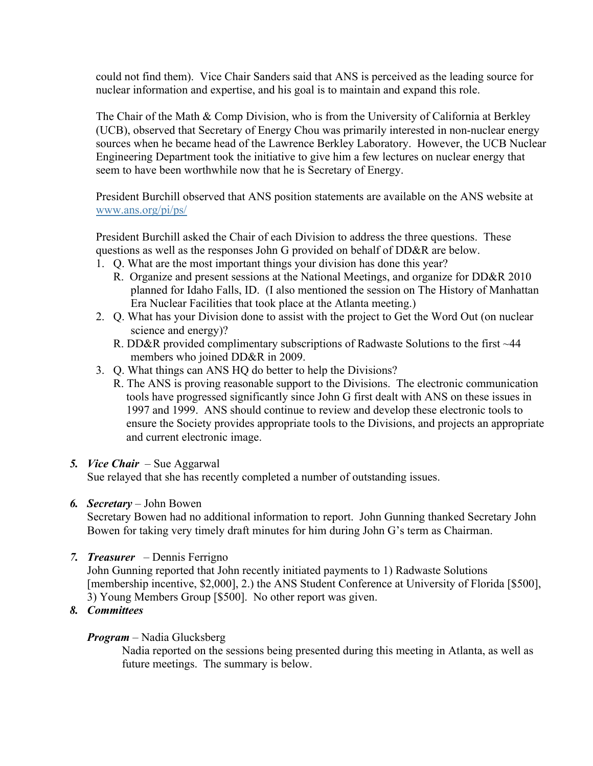could not find them). Vice Chair Sanders said that ANS is perceived as the leading source for nuclear information and expertise, and his goal is to maintain and expand this role.

The Chair of the Math & Comp Division, who is from the University of California at Berkley (UCB), observed that Secretary of Energy Chou was primarily interested in non-nuclear energy sources when he became head of the Lawrence Berkley Laboratory. However, the UCB Nuclear Engineering Department took the initiative to give him a few lectures on nuclear energy that seem to have been worthwhile now that he is Secretary of Energy.

President Burchill observed that ANS position statements are available on the ANS website at www.ans.org/pi/ps/

President Burchill asked the Chair of each Division to address the three questions. These questions as well as the responses John G provided on behalf of DD&R are below.

- 1. Q. What are the most important things your division has done this year?
	- R. Organize and present sessions at the National Meetings, and organize for DD&R 2010 planned for Idaho Falls, ID. (I also mentioned the session on The History of Manhattan Era Nuclear Facilities that took place at the Atlanta meeting.)
- 2. Q. What has your Division done to assist with the project to Get the Word Out (on nuclear science and energy)?
	- R. DD&R provided complimentary subscriptions of Radwaste Solutions to the first ~44 members who joined DD&R in 2009.
- 3. Q. What things can ANS HQ do better to help the Divisions?
	- R. The ANS is proving reasonable support to the Divisions. The electronic communication tools have progressed significantly since John G first dealt with ANS on these issues in 1997 and 1999. ANS should continue to review and develop these electronic tools to ensure the Society provides appropriate tools to the Divisions, and projects an appropriate and current electronic image.

### *5. Vice Chair* – Sue Aggarwal

Sue relayed that she has recently completed a number of outstanding issues.

### *6. Secretary* – John Bowen

Secretary Bowen had no additional information to report. John Gunning thanked Secretary John Bowen for taking very timely draft minutes for him during John G's term as Chairman.

*7. Treasurer* – Dennis Ferrigno

John Gunning reported that John recently initiated payments to 1) Radwaste Solutions [membership incentive, \$2,000], 2.) the ANS Student Conference at University of Florida [\$500], 3) Young Members Group [\$500]. No other report was given.

*8. Committees*

### *Program* – Nadia Glucksberg

Nadia reported on the sessions being presented during this meeting in Atlanta, as well as future meetings. The summary is below.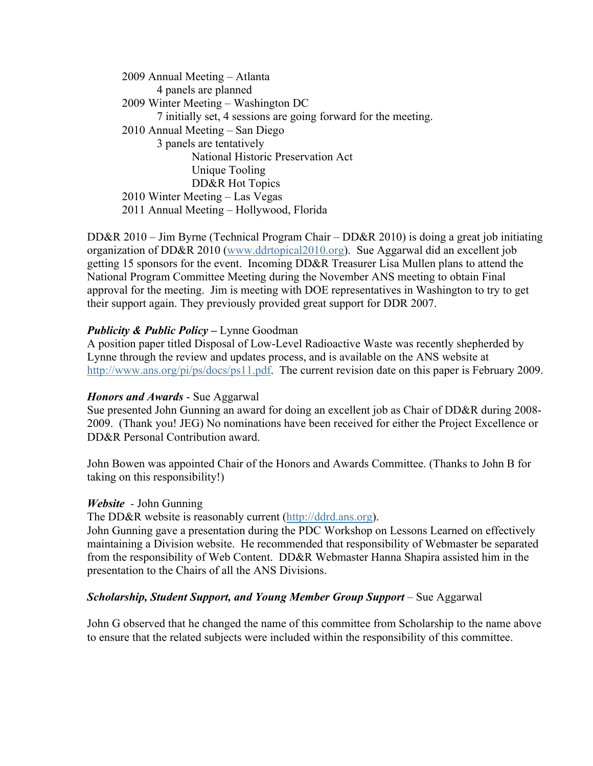2009 Annual Meeting – Atlanta 4 panels are planned 2009 Winter Meeting – Washington DC 7 initially set, 4 sessions are going forward for the meeting. 2010 Annual Meeting – San Diego 3 panels are tentatively National Historic Preservation Act Unique Tooling DD&R Hot Topics 2010 Winter Meeting – Las Vegas 2011 Annual Meeting – Hollywood, Florida

DD&R 2010 – Jim Byrne (Technical Program Chair – DD&R 2010) is doing a great job initiating organization of DD&R 2010 (www.ddrtopical2010.org). Sue Aggarwal did an excellent job getting 15 sponsors for the event. Incoming DD&R Treasurer Lisa Mullen plans to attend the National Program Committee Meeting during the November ANS meeting to obtain Final approval for the meeting. Jim is meeting with DOE representatives in Washington to try to get their support again. They previously provided great support for DDR 2007.

## *Publicity & Public Policy* **–** Lynne Goodman

A position paper titled Disposal of Low-Level Radioactive Waste was recently shepherded by Lynne through the review and updates process, and is available on the ANS website at http://www.ans.org/pi/ps/docs/ps11.pdf. The current revision date on this paper is February 2009.

### *Honors and Awards* - Sue Aggarwal

Sue presented John Gunning an award for doing an excellent job as Chair of DD&R during 2008- 2009. (Thank you! JEG) No nominations have been received for either the Project Excellence or DD&R Personal Contribution award.

John Bowen was appointed Chair of the Honors and Awards Committee. (Thanks to John B for taking on this responsibility!)

#### *Website -* John Gunning

The DD&R website is reasonably current (http://ddrd.ans.org).

John Gunning gave a presentation during the PDC Workshop on Lessons Learned on effectively maintaining a Division website. He recommended that responsibility of Webmaster be separated from the responsibility of Web Content. DD&R Webmaster Hanna Shapira assisted him in the presentation to the Chairs of all the ANS Divisions.

### *Scholarship, Student Support, and Young Member Group Support* – Sue Aggarwal

John G observed that he changed the name of this committee from Scholarship to the name above to ensure that the related subjects were included within the responsibility of this committee.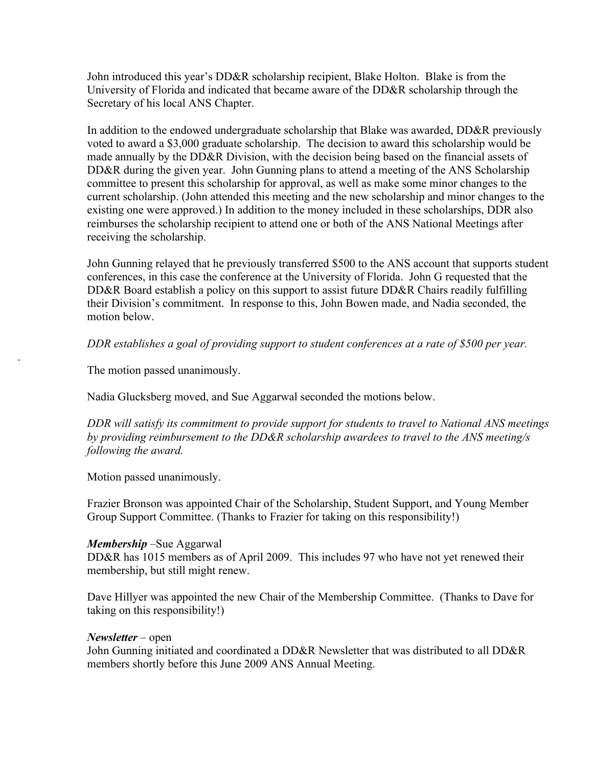John introduced this year's DD&R scholarship recipient, Blake Holton. Blake is from the University of Florida and indicated that became aware of the DD&R scholarship through the Secretary of his local ANS Chapter.

In addition to the endowed undergraduate scholarship that Blake was awarded, DD&R previously voted to award a \$3,000 graduate scholarship. The decision to award this scholarship would be made annually by the DD&R Division, with the decision being based on the financial assets of DD&R during the given year. John Gunning plans to attend a meeting of the ANS Scholarship committee to present this scholarship for approval, as well as make some minor changes to the current scholarship. (John attended this meeting and the new scholarship and minor changes to the existing one were approved.) In addition to the money included in these scholarships, DDR also reimburses the scholarship recipient to attend one or both of the ANS National Meetings after receiving the scholarship.

John Gunning relayed that he previously transferred \$500 to the ANS account that supports student conferences, in this case the conference at the University of Florida. John G requested that the DD&R Board establish a policy on this support to assist future DD&R Chairs readily fulfilling their Division's commitment. In response to this, John Bowen made, and Nadia seconded, the motion below.

*DDR establishes a goal of providing support to student conferences at a rate of \$500 per year.*

The motion passed unanimously.

.

Nadia Glucksberg moved, and Sue Aggarwal seconded the motions below.

*DDR will satisfy its commitment to provide support for students to travel to National ANS meetings by providing reimbursement to the DD&R scholarship awardees to travel to the ANS meeting/s following the award.* 

Motion passed unanimously.

Frazier Bronson was appointed Chair of the Scholarship, Student Support, and Young Member Group Support Committee. (Thanks to Frazier for taking on this responsibility!)

### *Membership* –Sue Aggarwal

DD&R has 1015 members as of April 2009. This includes 97 who have not yet renewed their membership, but still might renew.

Dave Hillyer was appointed the new Chair of the Membership Committee. (Thanks to Dave for taking on this responsibility!)

### *Newsletter* – open

John Gunning initiated and coordinated a DD&R Newsletter that was distributed to all DD&R members shortly before this June 2009 ANS Annual Meeting.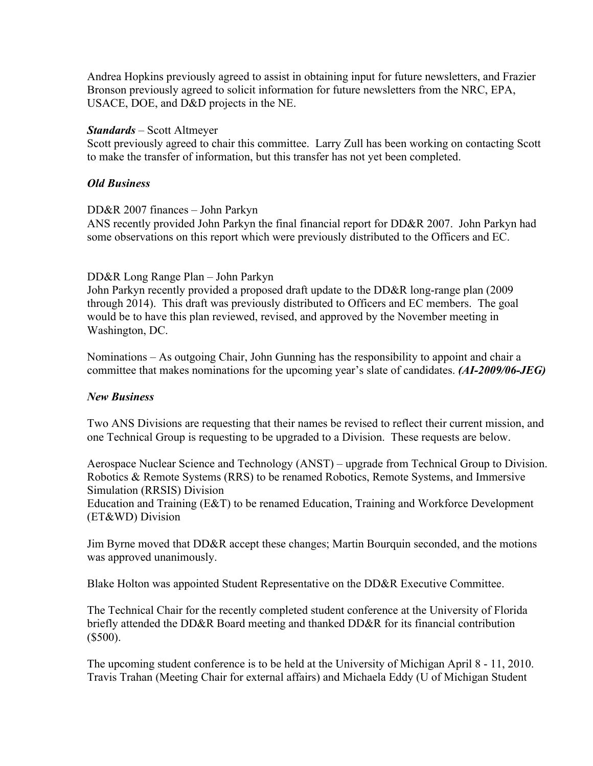Andrea Hopkins previously agreed to assist in obtaining input for future newsletters, and Frazier Bronson previously agreed to solicit information for future newsletters from the NRC, EPA, USACE, DOE, and D&D projects in the NE.

## *Standards* – Scott Altmeyer

Scott previously agreed to chair this committee. Larry Zull has been working on contacting Scott to make the transfer of information, but this transfer has not yet been completed.

## *Old Business*

## DD&R 2007 finances – John Parkyn

ANS recently provided John Parkyn the final financial report for DD&R 2007. John Parkyn had some observations on this report which were previously distributed to the Officers and EC.

## DD&R Long Range Plan – John Parkyn

John Parkyn recently provided a proposed draft update to the DD&R long-range plan (2009 through 2014). This draft was previously distributed to Officers and EC members. The goal would be to have this plan reviewed, revised, and approved by the November meeting in Washington, DC.

Nominations – As outgoing Chair, John Gunning has the responsibility to appoint and chair a committee that makes nominations for the upcoming year's slate of candidates. *(AI-2009/06-JEG)*

# *New Business*

Two ANS Divisions are requesting that their names be revised to reflect their current mission, and one Technical Group is requesting to be upgraded to a Division. These requests are below.

Aerospace Nuclear Science and Technology (ANST) – upgrade from Technical Group to Division. Robotics & Remote Systems (RRS) to be renamed Robotics, Remote Systems, and Immersive Simulation (RRSIS) Division

Education and Training (E&T) to be renamed Education, Training and Workforce Development (ET&WD) Division

Jim Byrne moved that DD&R accept these changes; Martin Bourquin seconded, and the motions was approved unanimously.

Blake Holton was appointed Student Representative on the DD&R Executive Committee.

The Technical Chair for the recently completed student conference at the University of Florida briefly attended the DD&R Board meeting and thanked DD&R for its financial contribution (\$500).

The upcoming student conference is to be held at the University of Michigan April 8 - 11, 2010. Travis Trahan (Meeting Chair for external affairs) and Michaela Eddy (U of Michigan Student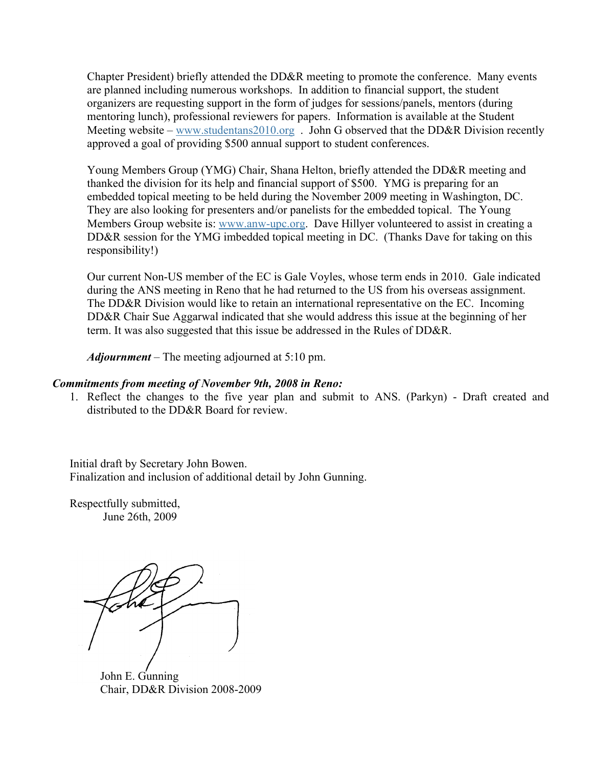Chapter President) briefly attended the DD&R meeting to promote the conference. Many events are planned including numerous workshops. In addition to financial support, the student organizers are requesting support in the form of judges for sessions/panels, mentors (during mentoring lunch), professional reviewers for papers. Information is available at the Student Meeting website – www.studentans2010.org . John G observed that the DD&R Division recently approved a goal of providing \$500 annual support to student conferences.

Young Members Group (YMG) Chair, Shana Helton, briefly attended the DD&R meeting and thanked the division for its help and financial support of \$500. YMG is preparing for an embedded topical meeting to be held during the November 2009 meeting in Washington, DC. They are also looking for presenters and/or panelists for the embedded topical. The Young Members Group website is: www.anw-upc.org. Dave Hillyer volunteered to assist in creating a DD&R session for the YMG imbedded topical meeting in DC. (Thanks Dave for taking on this responsibility!)

Our current Non-US member of the EC is Gale Voyles, whose term ends in 2010. Gale indicated during the ANS meeting in Reno that he had returned to the US from his overseas assignment. The DD&R Division would like to retain an international representative on the EC. Incoming DD&R Chair Sue Aggarwal indicated that she would address this issue at the beginning of her term. It was also suggested that this issue be addressed in the Rules of DD&R.

*Adjournment* – The meeting adjourned at 5:10 pm.

#### *Commitments from meeting of November 9th, 2008 in Reno:*

1. Reflect the changes to the five year plan and submit to ANS. (Parkyn) - Draft created and distributed to the DD&R Board for review.

Initial draft by Secretary John Bowen. Finalization and inclusion of additional detail by John Gunning.

Respectfully submitted, June 26th, 2009

John E. Gunning Chair, DD&R Division 2008-2009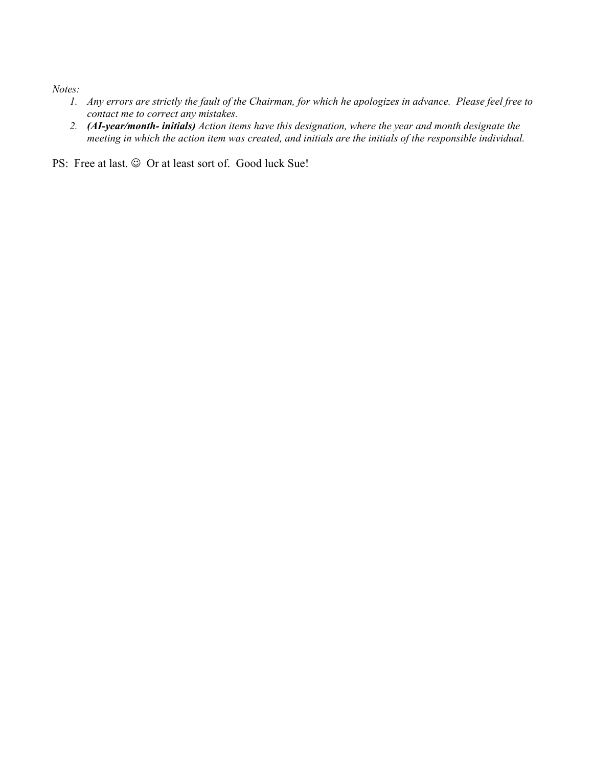*Notes:*

- *1. Any errors are strictly the fault of the Chairman, for which he apologizes in advance. Please feel free to contact me to correct any mistakes.*
- *2. (AI-year/month- initials) Action items have this designation, where the year and month designate the meeting in which the action item was created, and initials are the initials of the responsible individual.*

PS: Free at last.  $\odot$  Or at least sort of. Good luck Sue!